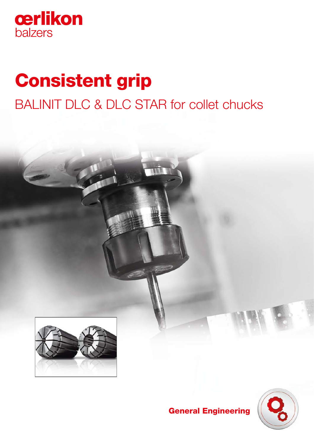

# Consistent grip

## BALINIT DLC & DLC STAR for collet chucks



### General Engineering